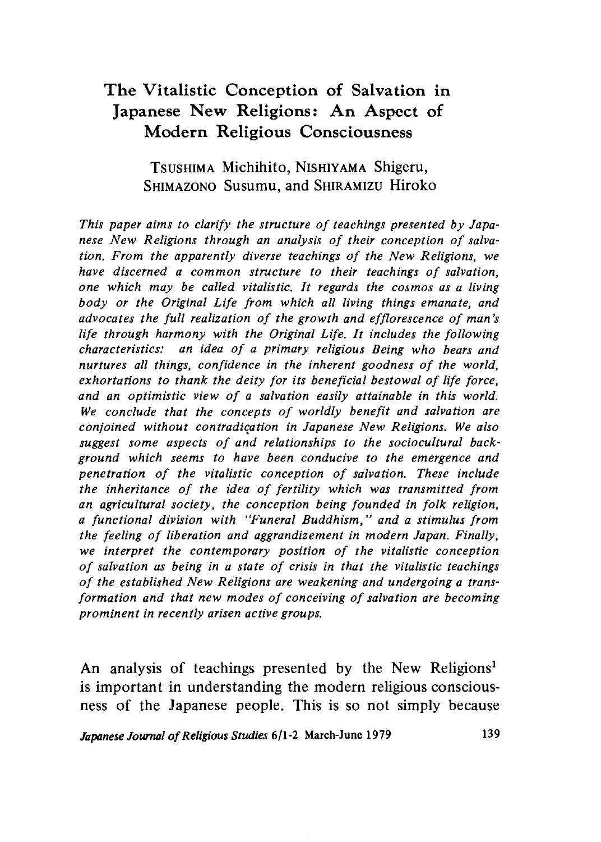# **The Vitalistic Conception of Salvation in Japanese New Religions: An Aspect of Modern Religious Consciousness**

# Tsushima Michihito, Nishiyama Shigeru SHIMAZONO Susumu, and SHIRAMIZU Hiroko

*This paper aims to clarify the structure of teachings presented by Japanese New Religions through an analysis of their conception of salvation. From the apparently diverse teachings of the New Religions, we* have discerned a common structure to their teachings of salvation, *one which may be called vitalistic. It regards the cosmos as a living* body or the Original Life from which all living things emanate, and *advocates the full realization of the growth and efflorescence of man's life through harmony with the Original Life. It includes the following characteristics: an idea of a primary religious Being who bears and* nurtures all things, confidence in the inherent goodness of the world, *exhortations to thank the deity for its beneficial bestowal of life force,* and an optimistic view of a salvation easily attainable in this world. We conclude that the concepts of worldly benefit and salvation are *conjoined without contradication in Japanese New Religions. We also* suggest some aspects of and relationships to the sociocultural back*ground which seems to have been conducive to the emergence and* penetration of the vitalistic conception of salvation. These include the inheritance of the idea of fertility which was transmitted from *an agricultural society, the conception being founded in folk religion a functional division with "Funeral Buddhism," and a stimulus from* the feeling of liberation and aggrandizement in modern Japan. Finally, *we interpret the contemporary position of the vitalistic conception o f salvation as being in a state of crisis in that the vitalistic teachings o f the established New Religions are weakening and undergoing a trans*formation and that new modes of conceiving of salvation are becoming *prominent in recently arisen active groups.*

An analysis of teachings presented by the New Religions<sup>1</sup> is important in understanding the modern religious consciousness of the Japanese people. This is so not simply because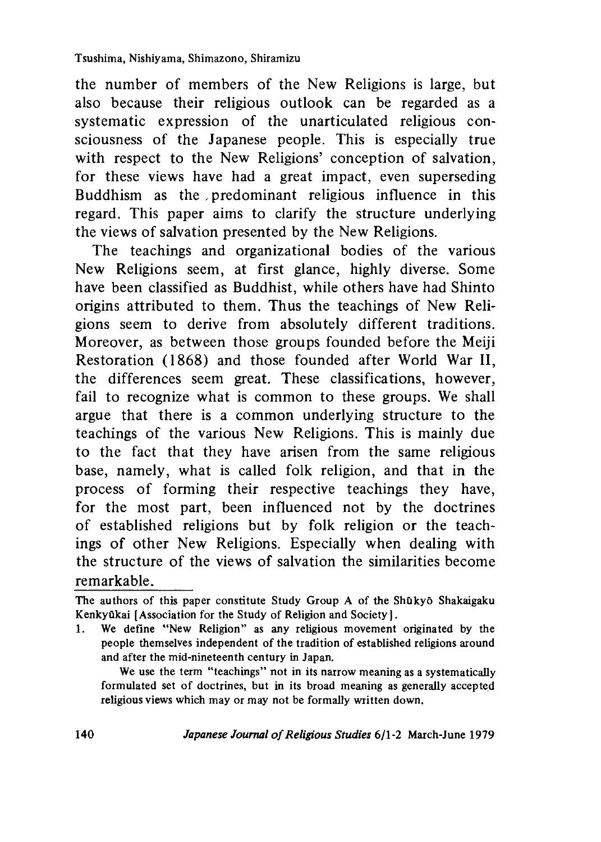the number of members of the New Religions is large, but also because their religious outlook can be regarded as a systematic expression of the unarticulated religious consciousness of the Japanese people. This is especially true with respect to the New Religions' conception of salvation, for these views have had a great impact, even superseding Buddhism as the , predominant religious influence in this regard. This paper aims to clarify the structure underlying the views of salvation presented by the New Religions.

The teachings and organizational bodies of the various New Religions seem, at first glance, highly diverse. Some have been classified as Buddhist, while others have had Shinto origins attributed to them. Thus the teachings of New Religions seem to derive from absolutely different traditions. Moreover, as between those groups founded before the Meiji Restoration (1868) and those founded after World War II, the differences seem great. These classifications, however, fail to recognize what is common to these groups. We shall argue that there is a common underlying structure to the teachings of the various New Religions. This is mainly due to the fact that they have arisen from the same religious base, namely, what is called folk religion, and that in the process of forming their respective teachings they have, for the most part, been influenced not by the doctrines of established religions but by folk religion or the teachings of other New Religions. Especially when dealing with the structure of the views of salvation the similarities become remarkable. \_\_\_\_

1. We define "New Religion" as any religious movement originated by the people themselves independent of the tradition of established religions around and after the mid-nineteenth century in Japan.

We use the term "teachings" not in its narrow meaning as a systematically formulated set of doctrines, but in its broad meaning as generally accepted religious views which may or may not be formally written down.

The authors of this paper constitute Study Group A of the Shukyo Shakaigaku Kenkyūkai [Association for the Study of Religion and Society].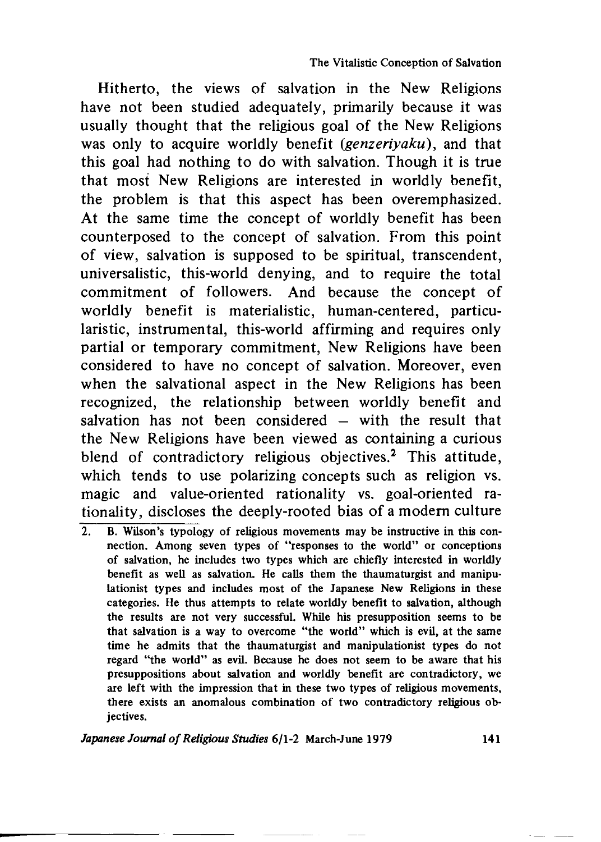Hitherto, the views of salvation in the New Religions have not been studied adequately, primarily because it was usually thought that the religious goal of the New Religions was only to acquire worldly benefit *{genzeriyaku),* and that this goal had nothing to do with salvation. Though it is true that most New Religions are interested in worldly benefit, the problem is that this aspect has been overemphasized. At the same time the concept of worldly benefit has been counterposed to the concept of salvation. From this point of view, salvation is supposed to be spiritual, transcendent, universalistic, this-world denying, and to require the total commitment of followers. And because the concept of worldly benefit is materialistic, human-centered, particularistic, instrumental, this-world affirming and requires only partial or temporary commitment, New Religions have been considered to have no concept of salvation. Moreover, even when the salvational aspect in the New Religions has been recognized, the relationship between worldly benefit and salvation has not been considered — with the result that the New Religions have been viewed as containing a curious blend of contradictory religious objectives.<sup>2</sup> This attitude, which tends to use polarizing concepts such as religion vs. magic and value-oriented rationality vs. goal-oriented rationality, discloses the deeply-rooted bias of a modem culture

2. B. Wilson's typology of religious movements may be instructive in this connection. Among seven types of "responses to the world" or conceptions of salvation, he includes two types which are chiefly interested in worldly benefit as well as salvation. He calls them the thaumaturgist and manipulationist types and includes most of the Japanese New Religions in these categories. He thus attempts to relate worldly benefit to salvation, although the results are not very successful. While his presupposition seems to be that salvation is a way to overcome "the world" which is evil, at the same time he admits that the thaumaturgist and manipulationist types do not regard "the world" as evil. Because he does not seem to be aware that his presuppositions about salvation and worldly benefit are contradictory, we are left with the impression that in these two types of religious movements, there exists an anomalous combination of two contradictory religious objectives.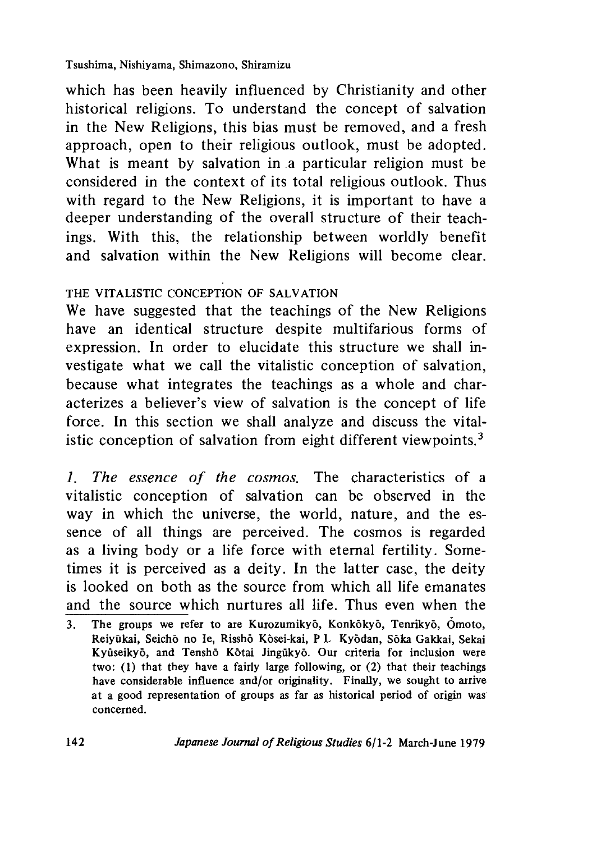#### Tsushima, Nishiyama, Shimazono, Shiramizu

which has been heavily influenced by Christianity and other historical religions. To understand the concept of salvation in the New Religions, this bias must be removed, and a fresh approach, open to their religious outlook, must be adopted. What is meant by salvation in a particular religion must be considered in the context of its total religious outlook. Thus with regard to the New Religions, it is important to have a deeper understanding of the overall structure of their teachings. With this, the relationship between worldly benefit and salvation within the New Religions will become clear.

# THE VITALISTIC CONCEPTION OF SALVATION

We have suggested that the teachings of the New Religions have an identical structure despite multifarious forms of expression. In order to elucidate this structure we shall investigate what we call the vitalistic conception of salvation, because what integrates the teachings as a whole and characterizes a believer's view of salvation is the concept of life force. In this section we shall analyze and discuss the vitalistic conception of salvation from eight different viewpoints.3

*1 . The essence of the cosmos.* The characteristics of a vitalistic conception of salvation can be observed in the way in which the universe, the world, nature, and the essence of all things are perceived. The cosmos is regarded as a living body or a life force with eternal fertility. Sometimes it is perceived as a deity. In the latter case, the deity is looked on both as the source from which all life emanates and the source which nurtures all life. Thus even when the

<sup>3.</sup> The groups we refer to are Kurozumikyo, Konkokyo, Tenrikyo, Omoto, Reiyukai, Seicho no Ie, Rissho Kosei-kai, P L Kyodan, Soka Gakkai, Sekai Kyūseikyō, and Tenshō Kōtai Jingūkyō. Our criteria for inclusion were two: (1) that they have a fairly large following, or (2) that their teachings have considerable influence and/or originality. Finally, we sought to arrive at a good representation of groups as far as historical period of origin was concerned.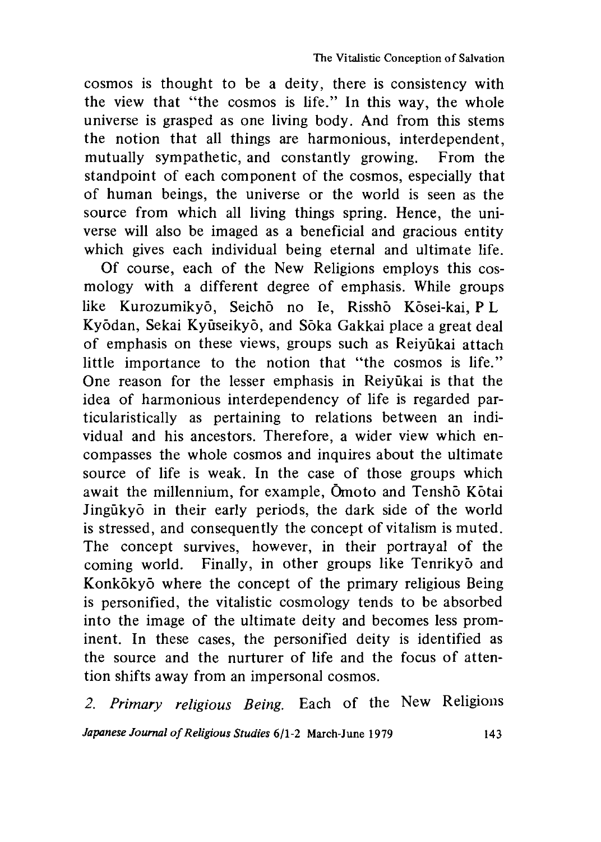cosmos is thought to be a deity, there is consistency with the view that "the cosmos is life." In this way, the whole universe is grasped as one living body. And from this stems the notion that all things are harmonious, interdependent, mutually sympathetic, and constantly growing. From the standpoint of each component of the cosmos, especially that of human beings, the universe or the world is seen as the source from which all living things spring. Hence, the universe will also be imaged as a beneficial and gracious entity which gives each individual being eternal and ultimate life.

Of course, each of the New Religions employs this cosmology with a different degree of emphasis. While groups like Kurozumikyō, Seichō no Ie, Risshō Kōsei-kai, P L Kyodan, Sekai Kyuseikyo, and Soka Gakkai place a great deal of emphasis on these views, groups such as Reiyukai attach little importance to the notion that "the cosmos is life." One reason for the lesser emphasis in Reivukai is that the idea of harmonious interdependency of life is regarded particularistically as pertaining to relations between an individual and his ancestors. Therefore, a wider view which encompasses the whole cosmos and inquires about the ultimate source of life is weak. In the case of those groups which await the millennium, for example, Omoto and Tenshō Kōtai Jingukyo in their early periods, the dark side of the world is stressed, and consequently the concept of vitalism is muted. The concept survives, however, in their portrayal of the coming world. Finally, in other groups like Tenrikyo and Konkōkyō where the concept of the primary religious Being is personified, the vitalistic cosmology tends to be absorbed into the image of the ultimate deity and becomes less prominent. In these cases, the personified deity is identified as the source and the nurturer of life and the focus of attention shifts away from an impersonal cosmos.

2. *Primary religious Being.* Each of the New Religions *Japanese Journal of Religious Studies* 6/1-2 March-June 1979 143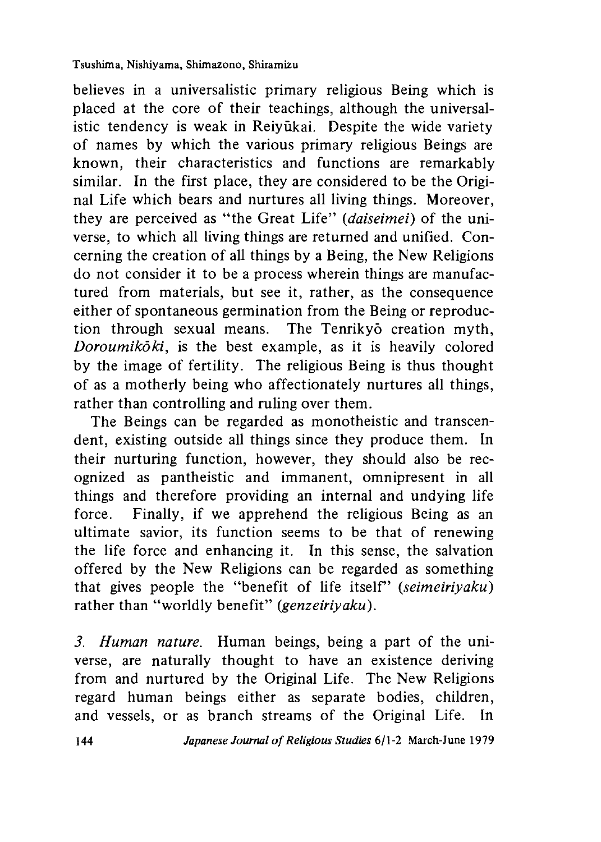believes in a universalistic primary religious Being which is placed at the core of their teachings, although the universalistic tendency is weak in Reivūkai. Despite the wide variety of names by which the various primary religious Beings are known, their characteristics and functions are remarkably similar. In the first place, they are considered to be the Original Life which bears and nurtures all living things. Moreover, they are perceived as "the Great Life" *(daiseimei)* of the universe, to which all living things are returned and unified. Concerning the creation of all things by a Being, the New Religions do not consider it to be a process wherein things are manufactured from materials, but see it, rather, as the consequence either of spontaneous germination from the Being or reproduction through sexual means. The Tenrikyo creation myth, *Doroumikoki,* is the best example, as it is heavily colored by the image of fertility. The religious Being is thus thought of as a motherly being who affectionately nurtures all things, rather than controlling and ruling over them.

The Beings can be regarded as monotheistic and transcendent, existing outside all things since they produce them. In their nurturing function, however, they should also be recognized as pantheistic and immanent, omnipresent in all things and therefore providing an internal and undying life force. Finally, if we apprehend the religious Being as an ultimate savior, its function seems to be that of renewing the life force and enhancing it. In this sense, the salvation offered by the New Religions can be regarded as something that gives people the "benefit of life itself' *(seimeiriyaku)* rather than "worldly benefit" *(genzeiriyaku)*.

*3. Human nature.* Human beings, being a part of the universe, are naturally thought to have an existence deriving from and nurtured by the Original Life. The New Religions regard human beings either as separate bodies, children, and vessels, or as branch streams of the Original Life. In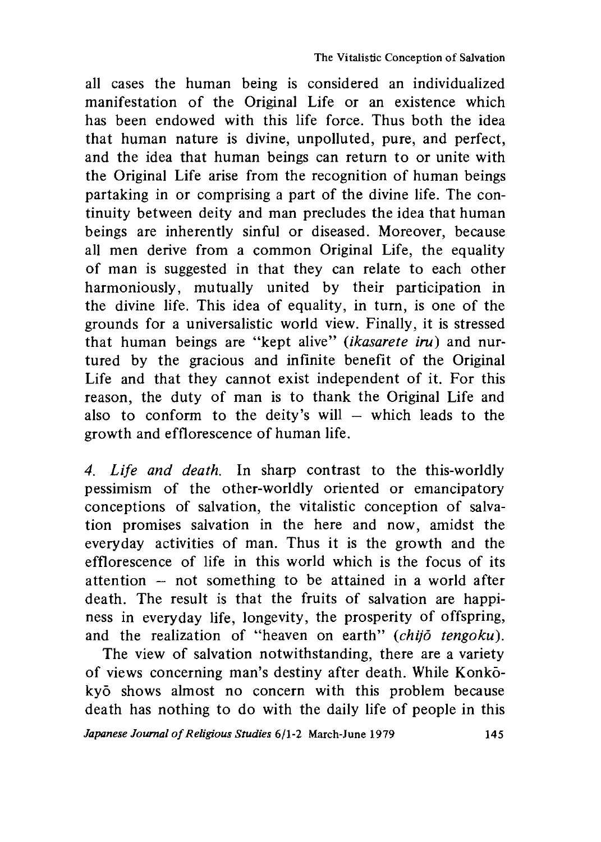all cases the human being is considered an individualized manifestation of the Original Life or an existence which has been endowed with this life force. Thus both the idea that human nature is divine, unpolluted, pure, and perfect, and the idea that human beings can return to or unite with the Original Life arise from the recognition of human beings partaking in or comprising a part of the divine life. The continuity between deity and man precludes the idea that human beings are inherently sinful or diseased. Moreover, because all men derive from a common Original Life, the equality of man is suggested in that they can relate to each other harmoniously, mutually united by their participation in the divine life. This idea of equality, in turn, is one of the grounds for a universalistic world view. Finally, it is stressed that human beings are "kept alive" *{ikasarete iru)* and nurtured by the gracious and infinite benefit of the Original Life and that they cannot exist independent of it. For this reason, the duty of man is to thank the Original Life and also to conform to the deity's will— which leads to the growth and efflorescence of human life.

*4. Life and death.* In sharp contrast to the this-worldly pessimism of the other-worldly oriented or emancipatory conceptions of salvation, the vitalistic conception of salvation promises salvation in the here and now, amidst the everyday activities of man. Thus it is the growth and the efflorescence of life in this world which is the focus of its attention — not something to be attained in a world after death. The result is that the fruits of salvation are happiness in everyday life, longevity, the prosperity of offspring, and the realization of "heaven on earth" *(chijo tengoku).*

The view of salvation notwithstanding, there are a variety of views concerning man's destiny after death. While Konkokyo shows almost no concern with this problem because death has nothing to do with the daily life of people in this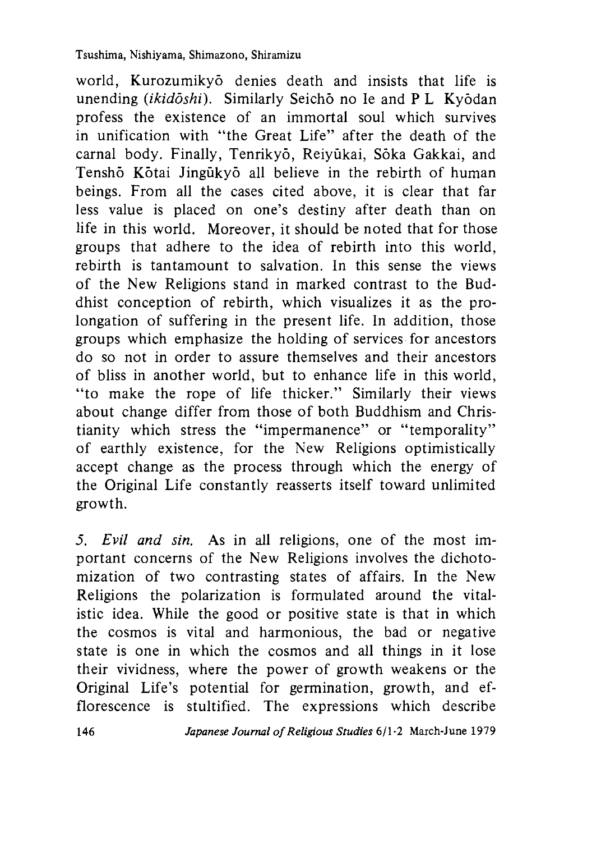world. Kurozumikyo denies death and insists that life is unending *(ikidoshi)*. Similarly Seicho no Ie and P L Kyodan profess the existence of an immortal soul which survives in unification with "the Great Life" after the death of the carnal body. Finally, Tenrikyō, Reiyūkai, Sōka Gakkai, and Tenshō Kōtai Jingūkyō all believe in the rebirth of human beings. From all the cases cited above, it is clear that far less value is placed on one's destiny after death than on life in this world. Moreover, it should be noted that for those groups that adhere to the idea of rebirth into this world, rebirth is tantamount to salvation. In this sense the views of the New Religions stand in marked contrast to the Buddhist conception of rebirth, which visualizes it as the prolongation of suffering in the present life. In addition, those groups which emphasize the holding of services for ancestors do so not in order to assure themselves and their ancestors of bliss in another world, but to enhance life in this world. "to make the rope of life thicker." Similarly their views about change differ from those of both Buddhism and Christianity which stress the "impermanence" or "temporality" of earthly existence, for the New Religions optimistically accept change as the process through which the energy of the Original Life constantly reasserts itself toward unlimited growth.

*5. Evil and sin.* As in all religions, one of the most important concerns of the New Religions involves the dichotomization of two contrasting states of affairs. In the New Religions the polarization is formulated around the vitalistic idea. While the good or positive state is that in which the cosmos is vital and harmonious, the bad or negative state is one in which the cosmos and all things in it lose their vividness, where the power of growth weakens or the Original Life's potential for germination, growth, and efflorescence is stultified. The expressions which describe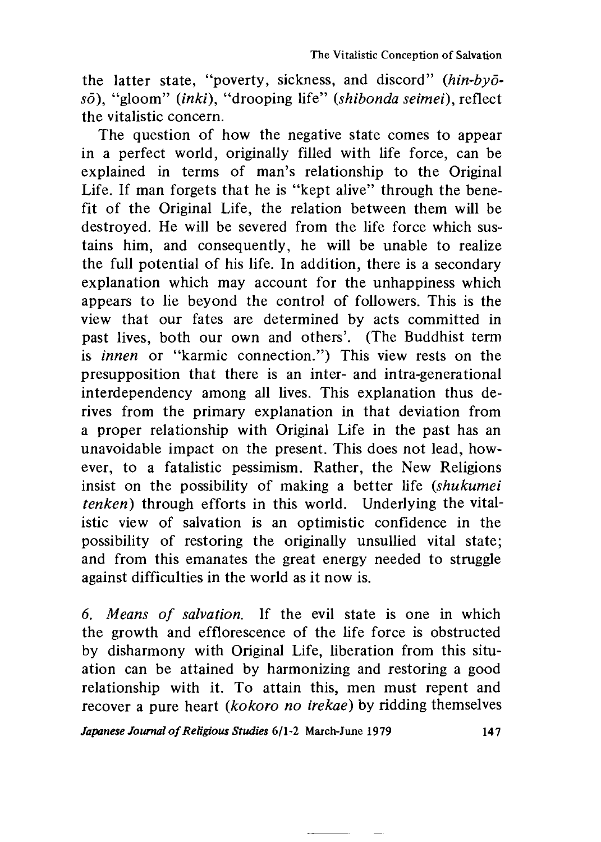the latter state, "poverty, sickness, and discord" *(hin-byōsd),* "gloom" *(inki),* "drooping life" *(shibonda seimei),* reflect the vitalistic concern.

The question of how the negative state comes to appear in a perfect world, originally filled with life force, can be explained in terms of man's relationship to the Original Life. If man forgets that he is "kept alive" through the benefit of the Original Life, the relation between them will be destroyed. He will be severed from the life force which sustains him, and consequently, he will be unable to realize the full potential of his life. In addition, there is a secondary explanation which may account for the unhappiness which appears to lie beyond the control of followers. This is the view that our fates are determined by acts committed in past lives, both our own and others'. (The Buddhist term is *innen* or "karmic connection.") This view rests on the presupposition that there is an inter- and intra-generational interdependency among all lives. This explanation thus derives from the primary explanation in that deviation from a proper relationship with Original Life in the past has an unavoidable impact on the present. This does not lead, however, to a fatalistic pessimism. Rather, the New Religions insist on the possibility of making a better life *(shukumei tenken)* through efforts in this world. Underlying the vitalistic view of salvation is an optimistic confidence in the possibility of restoring the originally unsullied vital state; and from this emanates the great energy needed to struggle against difficulties in the world as it now is.

*6. Means of salvation.* If the evil state is one in which the growth and efflorescence of the life force is obstructed by disharmony with Original Life, liberation from this situation can be attained by harmonizing and restoring a good relationship with it. To attain this, men must repent and recover a pure heart *(kokoro no irekae)* by ridding themselves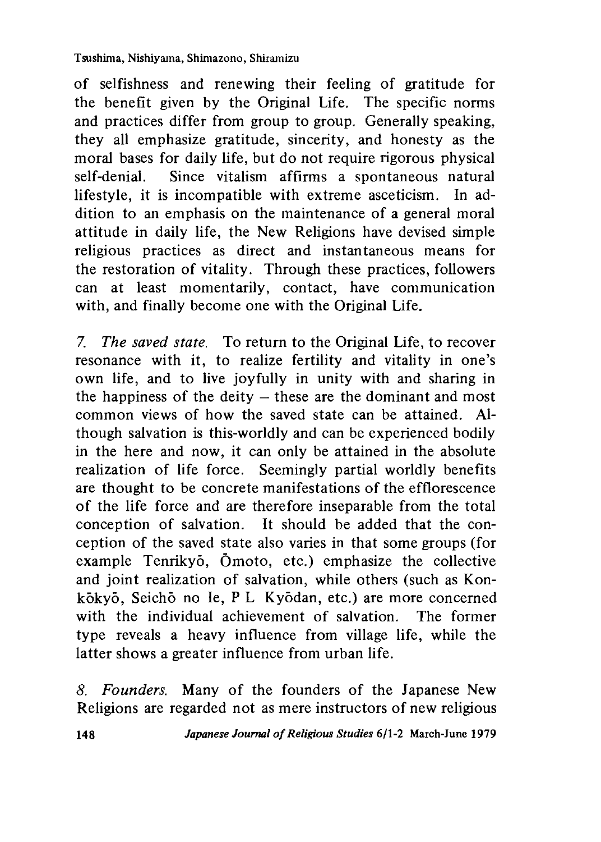of selfishness and renewing their feeling of gratitude for the benefit given by the Original Life. The specific norms and practices differ from group to group. Generally speaking, they all emphasize gratitude, sincerity, and honesty as the moral bases for daily life, but do not require rigorous physical self-denial. Since vitalism affirms a spontaneous natural lifestyle, it is incompatible with extreme asceticism. In addition to an emphasis on the maintenance of a general moral attitude in daily life, the New Religions have devised simple religious practices as direct and instantaneous means for the restoration of vitality. Through these practices, followers can at least momentarily, contact, have communication with, and finally become one with the Original Life.

7. *The saved state.* To return to the Original Life, to recover resonance with it, to realize fertility and vitality in one's own life, and to live joyfully in unity with and sharing in the happiness of the deity  $-$  these are the dominant and most common views of how the saved state can be attained. Although salvation is this-worldly and can be experienced bodily in the here and now, it can only be attained in the absolute realization of life force. Seemingly partial worldly benefits are thought to be concrete manifestations of the efflorescence of the life force and are therefore inseparable from the total conception of salvation. It should be added that the conception of the saved state also varies in that some groups (for example Tenrikyo, Omoto, etc.) emphasize the collective and joint realization of salvation, while others (such as Konkokyo, Seicho no Ie, P L Kyodan, etc.) are more concerned with the individual achievement of salvation. The former type reveals a heavy influence from village life, while the latter shows a greater influence from urban life.

*8. Founders.* Many of the founders of the Japanese New Religions are regarded not as mere instructors of new religious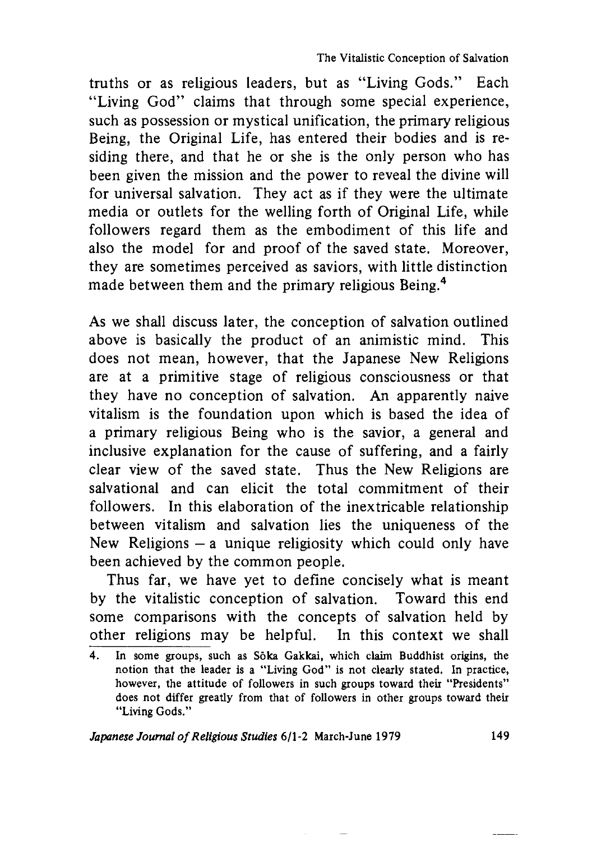truths or as religious leaders, but as "Living Gods." Each "Living God" claims that through some special experience, such as possession or mystical unification, the primary religious Being, the Original Life, has entered their bodies and is residing there, and that he or she is the only person who has been given the mission and the power to reveal the divine will for universal salvation. They act as if they were the ultimate media or outlets for the welling forth of Original Life, while followers regard them as the embodiment of this life and also the model for and proof of the saved state. Moreover, they are sometimes perceived as saviors, with little distinction made between them and the primary religious Being.<sup>4</sup>

As we shall discuss later, the conception of salvation outlined above is basically the product of an animistic mind. This does not mean, however, that the Japanese New Religions are at a primitive stage of religious consciousness or that they have no conception of salvation. An apparently naive vitalism is the foundation upon which is based the idea of a primary religious Being who is the savior, a general and inclusive explanation for the cause of suffering, and a fairly clear view of the saved state. Thus the New Religions are salvational and can elicit the total commitment of their followers. In this elaboration of the inextricable relationship between vitalism and salvation lies the uniqueness of the New Religions  $-$  a unique religiosity which could only have been achieved by the common people.

Thus far, we have yet to define concisely what is meant by the vitalistic conception of salvation. Toward this end some comparisons with the concepts of salvation held by other religions may be helpful. In this context we shall

<sup>4.</sup> In some groups, such as Soka Gakkai, which claim Buddhist origins, the notion that the leader is a "Living God" is not clearly stated. In practice, however, the attitude of followers in such groups toward their "Presidents" does not differ greatly from that of followers in other groups toward their "Living Gods."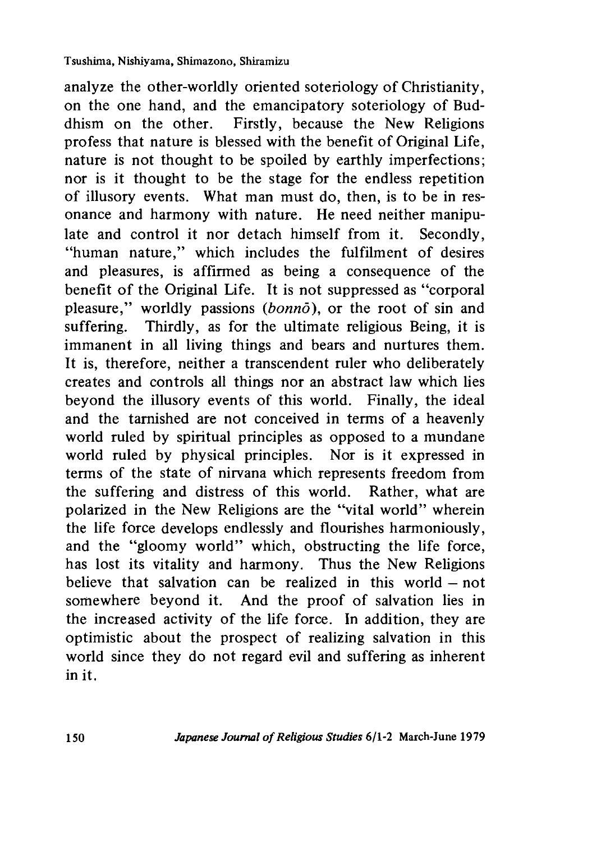analyze the other-worldly oriented soteriology of Christianity, on the one hand, and the emancipatory soteriology of Buddhism on the other. Firstly, because the New Religions profess that nature is blessed with the benefit of Original Life, nature is not thought to be spoiled by earthly imperfections; nor is it thought to be the stage for the endless repetition of illusory events. What man must do, then, is to be in resonance and harmony with nature. He need neither manipulate and control it nor detach himself from it. Secondly, "human nature," which includes the fulfilment of desires and pleasures, is affirmed as being a consequence of the benefit of the Original Life. It is not suppressed as "corporal pleasure," worldly passions *(bonno)*, or the root of sin and suffering. Thirdly, as for the ultimate religious Being, it is immanent in all living things and bears and nurtures them. It is, therefore, neither a transcendent ruler who deliberately creates and controls all things nor an abstract law which lies beyond the illusory events of this world. Finally, the ideal and the tarnished are not conceived in terms of a heavenly world ruled by spiritual principles as opposed to a mundane world ruled by physical principles. Nor is it expressed in terms of the state of nirvana which represents freedom from the suffering and distress of this world. Rather, what are polarized in the New Religions are the "vital world" wherein the life force develops endlessly and flourishes harmoniously, and the "gloomy world" which, obstructing the life force, has lost its vitality and harmony. Thus the New Religions believe that salvation can be realized in this world — not somewhere beyond it. And the proof of salvation lies in the increased activity of the life force. In addition, they are optimistic about the prospect of realizing salvation in this world since they do not regard evil and suffering as inherent in it.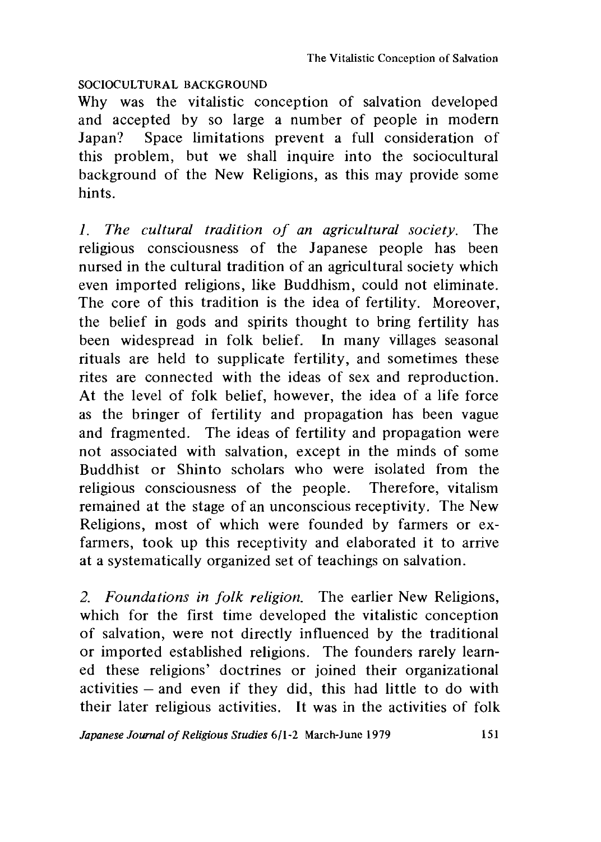### SOCIOCULTURAL BACKGROUND

Why was the vitalistic conception of salvation developed and accepted by so large a number of people in modern Japan? Space limitations prevent a full consideration of this problem, but we shall inquire into the sociocultural background of the New Religions, as this may provide some hints.

*1 . The cultural tradition of an agricultural society.* The religious consciousness of the Japanese people has been nursed in the cultural tradition of an agricultural society which even imported religions, like Buddhism, could not eliminate. The core of this tradition is the idea of fertility. Moreover, the belief in gods and spirits thought to bring fertility has been widespread in folk belief. In many villages seasonal rituals are held to supplicate fertility, and sometimes these rites are connected with the ideas of sex and reproduction. At the level of folk belief, however, the idea of a life force as the bringer of fertility and propagation has been vague and fragmented. The ideas of fertility and propagation were not associated with salvation, except in the minds of some Buddhist or Shinto scholars who were isolated from the religious consciousness of the people. Therefore, vitalism remained at the stage of an unconscious receptivity. The New Religions, most of which were founded by farmers or exfarmers, took up this receptivity and elaborated it to arrive at a systematically organized set of teachings on salvation.

*2. Foundations in folk religion.* The earlier New Religions, which for the first time developed the vitalistic conception of salvation, were not directly influenced by the traditional or imported established religions. The founders rarely learned these religions' doctrines or joined their organizational activities — and even if they did, this had little to do with their later religious activities. It was in the activities of folk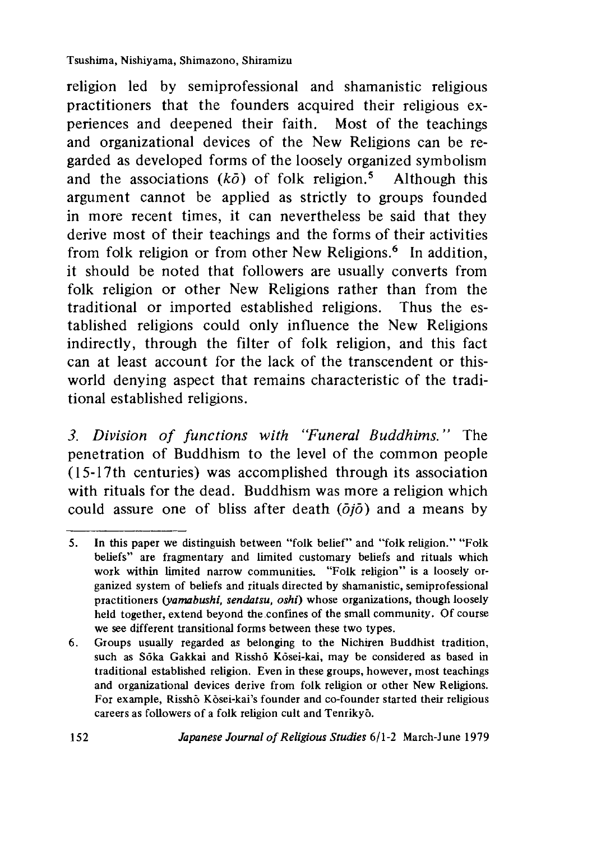religion led by semiprofessional and shamanistic religious practitioners that the founders acquired their religious experiences and deepened their faith. Most of the teachings and organizational devices of the New Religions can be regarded as developed forms of the loosely organized symbolism and the associations  $(k\bar{o})$  of folk religion.<sup>5</sup> Although this argument cannot be applied as strictly to groups founded in more recent times, it can nevertheless be said that they derive most of their teachings and the forms of their activities from folk religion or from other New Religions.<sup>6</sup> In addition, it should be noted that followers are usually converts from folk religion or other New Religions rather than from the traditional or imported established religions. Thus the established religions could only influence the New Religions indirectly, through the filter of folk religion, and this fact can at least account for the lack of the transcendent or thisworld denying aspect that remains characteristic of the traditional established religions.

3. Division of functions with "Funeral Buddhims." The penetration of Buddhism to the level of the common people (15-17th centuries) was accomplished through its association with rituals for the dead. Buddhism was more a religion which could assure one of bliss after death ( $\partial i\partial$ ) and a means by

<sup>5.</sup> In this paper we distinguish between "folk belief" and "folk religion." "Folk beliefs" are fragmentary and limited customary beliefs and rituals which work within limited narrow communities. "Folk religion" is a loosely organized system of beliefs and rituals directed by shamanistic, semiprofessional practitioners *(yarmbushi, sendatsu, oshi)* whose organizations, though loosely held together, extend beyond the confines of the small community. Of course we see different transitional forms between these two types.

<sup>6.</sup> Groups usually regarded as belonging to the Nichiren Buddhist tradition, such as Soka Gakkai and Rissho Kosei-kai, may be considered as based in traditional established religion. Even in these groups, however, most teachings and organizational devices derive from folk religion or other New Religions. For example, Rissho Kosei-kai's founder and co-founder started their religious careers as followers of a folk religion cult and Tenrikyo.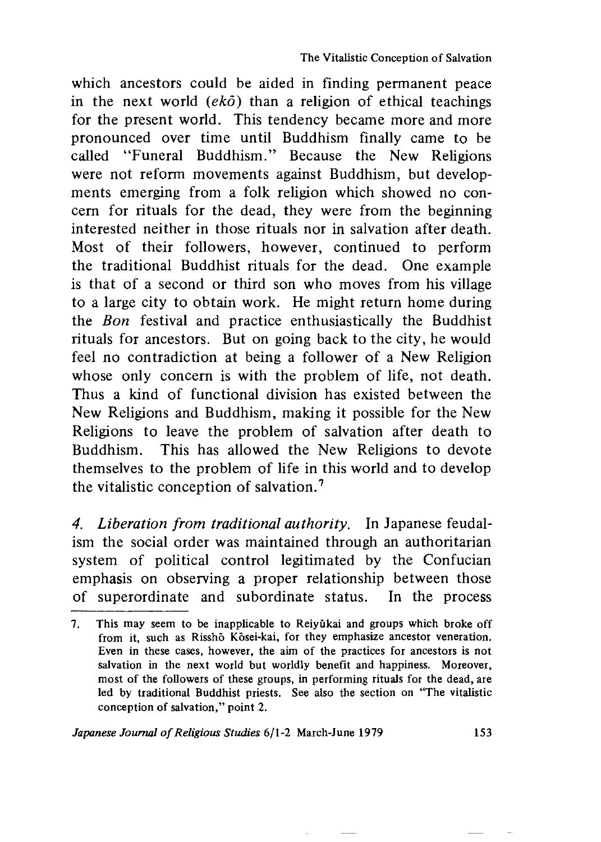which ancestors could be aided in finding permanent peace in the next world *(eko)* than a religion of ethical teachings for the present world. This tendency became more and more pronounced over time until Buddhism finally came to be called "Funeral Buddhism." Because the New Religions were not reform movements against Buddhism, but developments emerging from a folk religion which showed no concern for rituals for the dead, they were from the beginning interested neither in those rituals nor in salvation after death. Most of their followers, however, continued to perform the traditional Buddhist rituals for the dead. One example is that of a second or third son who moves from his village to a large city to obtain work. He might return home during the *Bon* festival and practice enthusiastically the Buddhist rituals for ancestors. But on going back to the city, he would feel no contradiction at being a follower of a New Religion whose only concern is with the problem of life, not death. Thus a kind of functional division has existed between the New Religions and Buddhism, making it possible for the New Religions to leave the problem of salvation after death to Buddhism. This has allowed the New Religions to devote themselves to the problem of life in this world and to develop the vitalistic conception of salvation.7

*4. Liberation from traditional authority.* In Japanese feudalism the social order was maintained through an authoritarian system of political control legitimated by the Confucian emphasis on observing a proper relationship between those of superordinate and subordinate status. In the process

<sup>7.</sup> This may seem to be inapplicable to Reivukai and groups which broke off from it, such as Risshō Kōsei-kai, for they emphasize ancestor veneration. Even in these cases, however, the aim of the practices for ancestors is not saJvation in the next world but worldly benefit and happiness. Moreover, most of the followers of these groups, in performing rituals for the dead, are led by traditional Buddhist priests. See also the section on "The vitalistic conception of salvation," point 2.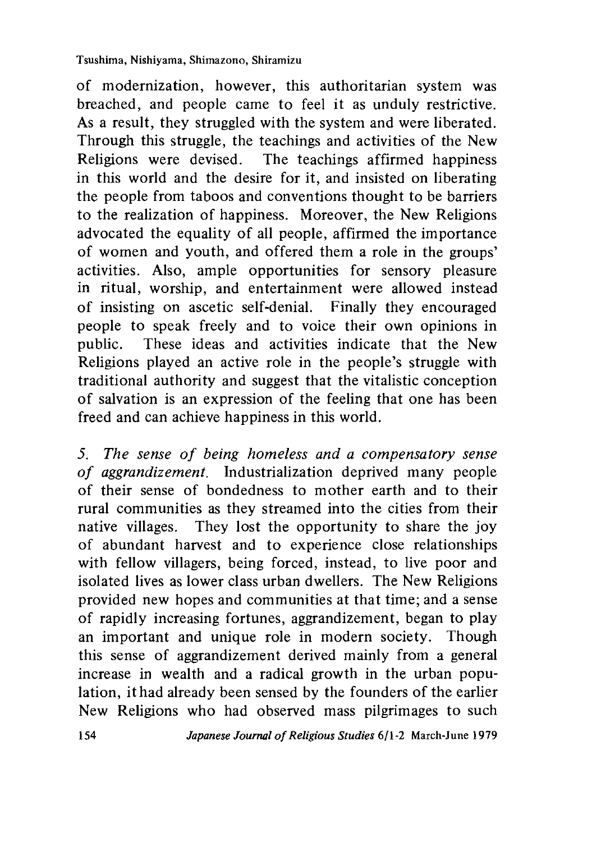of modernization, however, this authoritarian system was breached, and people came to feel it as unduly restrictive. As a result, they struggled with the system and were liberated. Through this struggle, the teachings and activities of the New Religions were devised. The teachings affirmed happiness in this world and the desire for it, and insisted on liberating the people from taboos and conventions thought to be barriers to the realization of happiness. Moreover, the New Religions advocated the equality of all people, affirmed the importance of women and youth, and offered them a role in the groups' activities. Also, ample opportunities for sensory pleasure in ritual, worship, and entertainment were allowed instead of insisting on ascetic self-denial. Finally they encouraged people to speak freely and to voice their own opinions in public. These ideas and activities indicate that the New Religions played an active role in the people's struggle with traditional authority and suggest that the vitalistic conception of salvation is an expression of the feeling that one has been freed and can achieve happiness in this world.

*5. The sense of being homeless and a compensatory sense of aggrandizement.* Industrialization deprived many people of their sense of bondedness to mother earth and to their rural communities as they streamed into the cities from their native villages. They lost the opportunity to share the joy of abundant harvest and to experience close relationships with fellow villagers, being forced, instead, to live poor and isolated lives as lower class urban dwellers. The New Religions provided new hopes and communities at that time; and a sense of rapidly increasing fortunes, aggrandizement, began to play an important and unique role in modern society. Though this sense of aggrandizement derived mainly from a general increase in wealth and a radical growth in the urban population, it had already been sensed by the founders of the earlier New Religions who had observed mass pilgrimages to such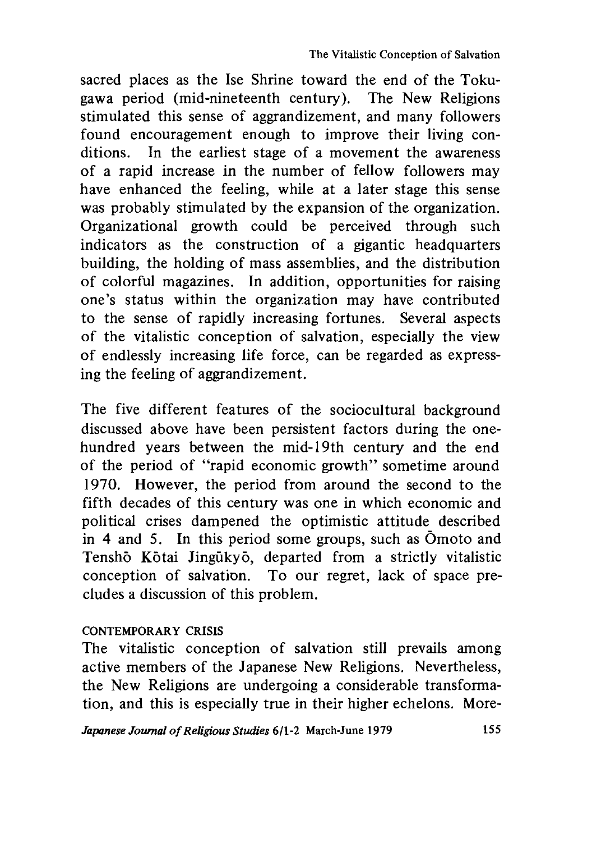sacred places as the Ise Shrine toward the end of the Tokugawa period (mid-nineteenth century). The New Religions stimulated this sense of aggrandizement, and many followers found encouragement enough to improve their living conditions. In the earliest stage of a movement the awareness of a rapid increase in the number of fellow followers may have enhanced the feeling, while at a later stage this sense was probably stimulated by the expansion of the organization. Organizational growth could be perceived through such indicators as the construction of a gigantic headquarters building, the holding of mass assemblies, and the distribution of colorful magazines. In addition, opportunities for raising one's status within the organization may have contributed to the sense of rapidly increasing fortunes. Several aspects of the vitalistic conception of salvation, especially the view of endlessly increasing life force, can be regarded as expressing the feeling of aggrandizement.

The five different features of the sociocultural background discussed above have been persistent factors during the onehundred years between the mid-19th century and the end of the period of "rapid economic growth" sometime around 1970. However, the period from around the second to the fifth decades of this century was one in which economic and political crises dampened the optimistic attitude described in 4 and *5,* In this period some groups, such as Omoto and Tenshō Kōtai Jingūkyō, departed from a strictly vitalistic conception of salvation. To our regret, lack of space precludes a discussion of this problem.

## CONTEMPORARY CRISIS

The vitalistic conception of salvation still prevails among active members of the Japanese New Religions. Nevertheless, the New Religions are undergoing a considerable transformation, and this is especially true in their higher echelons. More-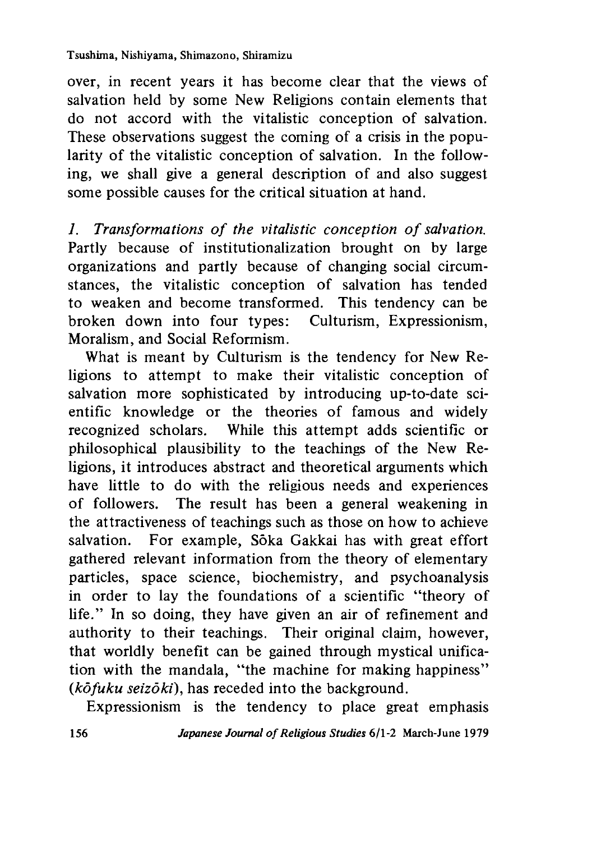over, in recent years it has become clear that the views of salvation held by some New Religions contain elements that do not accord with the vitalistic conception of salvation. These observations suggest the coming of a crisis in the popularity of the vitalistic conception of salvation. In the following, we shall give a general description of and also suggest some possible causes for the critical situation at hand.

*1 . Transformations of the vitalistic conception of salvation.* Partly because of institutionalization brought on by large organizations and partly because of changing social circumstances, the vitalistic conception of salvation has tended to weaken and become transformed. This tendency can be broken down into four types: Culturism, Expressionism, Moralism, and Social Reformism.

What is meant by Culturism is the tendency for New Religions to attempt to make their vitalistic conception of salvation more sophisticated by introducing up-to-date scientific knowledge or the theories of famous and widely recognized scholars. While this attempt adds scientific or philosophical plausibility to the teachings of the New Religions, it introduces abstract and theoretical arguments which have little to do with the religious needs and experiences of followers. The result has been a general weakening in the attractiveness of teachings such as those on how to achieve salvation. For example, Sōka Gakkai has with great effort gathered relevant information from the theory of elementary particles, space science, biochemistry, and psychoanalysis in order to lay the foundations of a scientific "theory of life." In so doing, they have given an air of refinement and authority to their teachings. Their original claim, however, that worldly benefit can be gained through mystical unification with the mandala, "the machine for making happiness" *(kofuku seizoki),* has receded into the background.

Expressionism is the tendency to place great emphasis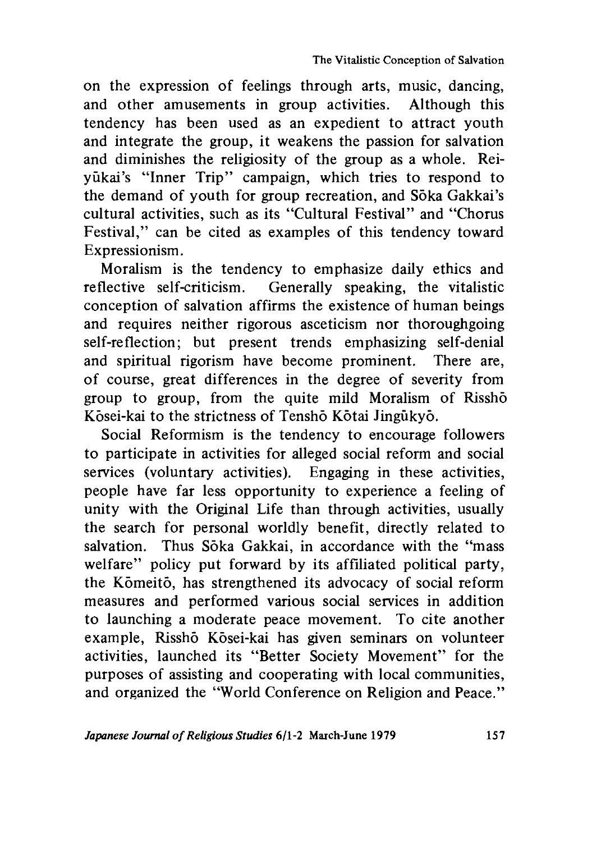on the expression of feelings through arts, music, dancing, and other amusements in group activities. Although this tendency has been used as an expedient to attract youth and integrate the group, it weakens the passion for salvation and diminishes the religiosity of the group as a whole. Reiyukai's "Inner Trip" campaign, which tries to respond to the demand of youth for group recreation, and Sōka Gakkai's cultural activities, such as its "Cultural Festival" and "Chorus Festival," can be cited as examples of this tendency toward Expressionism.

Moralism is the tendency to emphasize daily ethics and re flective self-criticism. Generally speaking, the vitalistic conception of salvation affirms the existence of human beings and requires neither rigorous asceticism nor thoroughgoing self-reflection; but present trends emphasizing self-denial and spiritual rigorism have become prominent. There are, of course, great differences in the degree of severity from group to group, from the quite mild Moralism of Rissho Kosei-kai to the strictness of Tensho Kotai Jingukyo.

Social Reformism is the tendency to encourage followers to participate in activities for alleged social reform and social services (voluntary activities). Engaging in these activities, people have far less opportunity to experience a feeling of unity with the Original Life than through activities, usually the search for personal worldly benefit, directly related to salvation. Thus Sōka Gakkai, in accordance with the "mass" welfare" policy put forward by its affiliated political party, the Komeito, has strengthened its advocacy of social reform measures and performed various social services in addition to launching a moderate peace movement. To cite another example, Risshō Kōsei-kai has given seminars on volunteer activities, launched its "Better Society Movement" for the purposes of assisting and cooperating with local communities, and organized the "World Conference on Religion and Peace."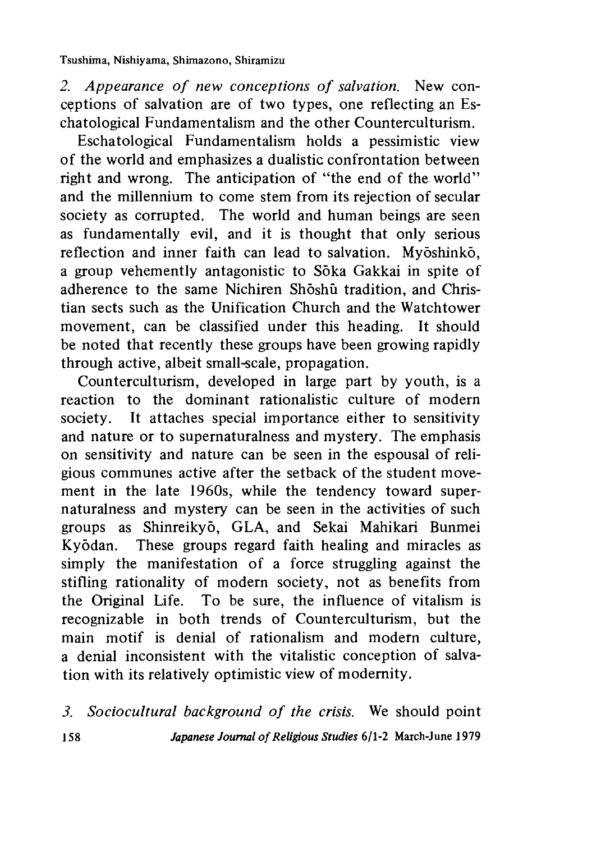*2. Appearance of new conceptions of salvation.* New conceptions of salvation are of two types, one reflecting an Eschatological Fundamentalism and the other Counterculturism.

Eschatological Fundamentalism holds a pessimistic view of the world and emphasizes a dualistic confrontation between right and wrong. The anticipation of "the end of the world" and the millennium to come stem from its rejection of secular society as corrupted. The world and human beings are seen as fundamentally evil, and it is thought that only serious reflection and inner faith can lead to salvation. Myōshinkō, a group vehemently antagonistic to Sōka Gakkai in spite of adherence to the same Nichiren Shōshū tradition, and Christian sects such as the Unification Church and the Watchtower movement, can be classified under this heading. It should be noted that recently these groups have been growing rapidly through active, albeit small-scale, propagation.

Counterculturism, developed in large part by youth, is a reaction to the dominant rationalistic culture of modern society. It attaches special importance either to sensitivity and nature or to supernaturalness and mystery. The emphasis on sensitivity and nature can be seen in the espousal of religious communes active after the setback of the student movement in the late 1960s, while the tendency toward supernaturalness and mystery can be seen in the activities of such groups as Shinreikyo, GLA,and Sekai Mahikari Bunmei Kyōdan. These groups regard faith healing and miracles as simply the manifestation of a force struggling against the stifling rationality of modern society, not as benefits from the Original Life. To be sure, the influence of vitalism is recognizable in both trends of Counterculturism, but the main motif is denial of rationalism and modern culture, a denial inconsistent with the vitalistic conception of salvation with its relatively optimistic view of modernity.

*3. Sociocultural background of the crisis.* We should point 158 *Japanese Journal of Religious Studies* 6/1-2 March-June 1979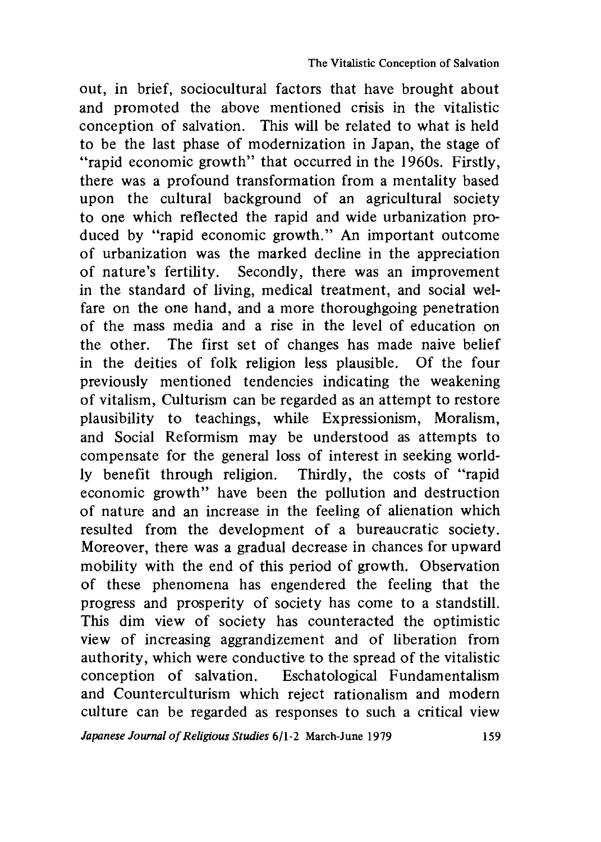out, in brief, sociocultural factors that have brought about and promoted the above mentioned crisis in the vitalistic conception of salvation. This will be related to what is held to be the last phase of modernization in Japan, the stage of "rapid economic growth" that occurred in the 1960s. Firstly, there was a profound transformation from a mentality based upon the cultural background of an agricultural society to one which reflected the rapid and wide urbanization produced by "rapid economic growth." An important outcome of urbanization was the marked decline in the appreciation of nature's fertility. Secondly, there was an improvement in the standard of living, medical treatment, and social welfare on the one hand, and a more thoroughgoing penetration of the mass media and a rise in the level of education on the other. The first set of changes has made naive belief in the deities of folk religion less plausible. Of the four previously mentioned tendencies indicating the weakening of vitalism, Culturism can be regarded as an attempt to restore plausibility to teachings, while Expressionism, Moralism, and Social Reformism may be understood as attempts to compensate for the general loss of interest in seeking worldly benefit through religion. Thirdly, the costs of "rapid economic growth" have been the pollution and destruction of nature and an increase in the feeling of alienation which resulted from the development of a bureaucratic society. Moreover, there was a gradual decrease in chances for upward mobility with the end of this period of growth. Observation of these phenomena has engendered the feeling that the progress and prosperity of society has come to a standstill. This dim view of society has counteracted the optimistic view of increasing aggrandizement and of liberation from authority, which were conductive to the spread of the vitalistic conception of salvation. Eschatological Fundamentalism and Counterculturism which reject rationalism and modern culture can be regarded as responses to such a critical view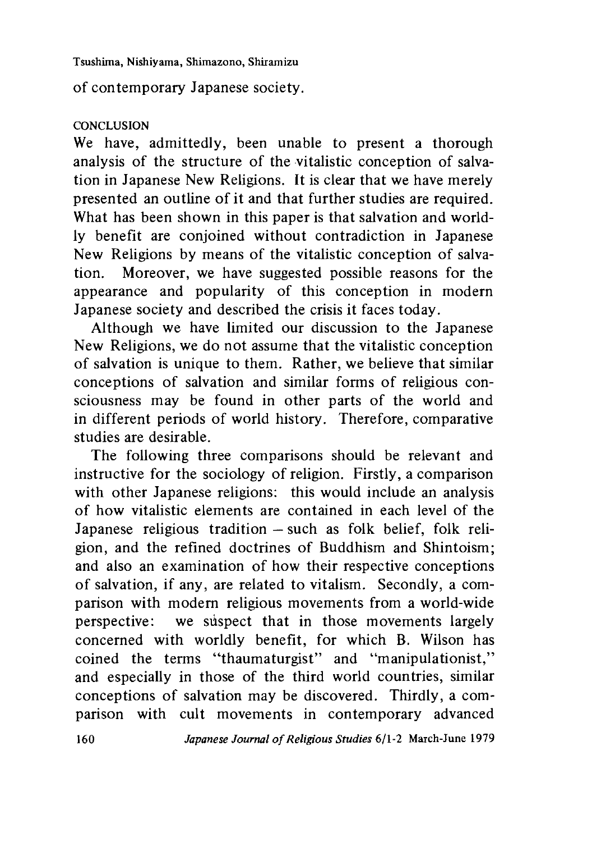of contemporary Japanese society.

### **CONCLUSION**

We have, admittedly, been unable to present a thorough analysis of the structure of the vitalistic conception of salvation in Japanese New Religions. It is clear that we have merely presented an outline of it and that further studies are required. What has been shown in this paper is that salvation and worldly benefit are conjoined without contradiction in Japanese New Religions by means of the vitalistic conception of salvation. Moreover, we have suggested possible reasons for the appearance and popularity of this conception in modern Japanese society and described the crisis it faces today.

Although we have limited our discussion to the Japanese New Religions, we do not assume that the vitalistic conception of salvation is unique to them. Rather, we believe that similar conceptions of salvation and similar forms of religious consciousness may be found in other parts of the world and in different periods of world history. Therefore, comparative studies are desirable.

The following three comparisons should be relevant and instructive for the sociology of religion. Firstly, a comparison with other Japanese religions: this would include an analysis of how vitalistic elements are contained in each level of the Japanese religious tradition *—* such as folk belief, folk religion, and the refined doctrines of Buddhism and Shintoism; and also an examination of how their respective conceptions of salvation, if any, are related to vitalism. Secondly, a comparison with modern religious movements from a world-wide perspective: we subspect that in those movements largely concerned with worldly benefit, for which B. Wilson has coined the terms "thaumaturgist" and "manipulationist," and especially in those of the third world countries, similar conceptions of salvation may be discovered. Thirdly, a comparison with cult movements in contemporary advanced